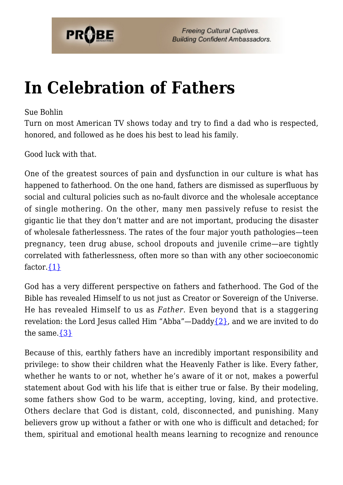

## **[In Celebration of Fathers](https://probe.org/in-celebration-of-fathers/)**

## Sue Bohlin

Turn on most American TV shows today and try to find a dad who is respected, honored, and followed as he does his best to lead his family.

Good luck with that.

One of the greatest sources of pain and dysfunction in our culture is what has happened to fatherhood. On the one hand, fathers are dismissed as superfluous by social and cultural policies such as no-fault divorce and the wholesale acceptance of single mothering. On the other, many men passively refuse to resist the gigantic lie that they don't matter and are not important, producing the disaster of wholesale fatherlessness. The rates of the four major youth pathologies—teen pregnancy, teen drug abuse, school dropouts and juvenile crime—are tightly correlated with fatherlessness, often more so than with any other socioeconomic factor. $\{1\}$ 

God has a very different perspective on fathers and fatherhood. The God of the Bible has revealed Himself to us not just as Creator or Sovereign of the Universe. He has revealed Himself to us as *Father*. Even beyond that is a staggering revelation: the Lord Jesus called Him "Abba"—Daddy $\{2\}$ , and we are invited to do the same. $\{3\}$ 

Because of this, earthly fathers have an incredibly important responsibility and privilege: to show their children what the Heavenly Father is like. Every father, whether he wants to or not, whether he's aware of it or not, makes a powerful statement about God with his life that is either true or false. By their modeling, some fathers show God to be warm, accepting, loving, kind, and protective. Others declare that God is distant, cold, disconnected, and punishing. Many believers grow up without a father or with one who is difficult and detached; for them, spiritual and emotional health means learning to recognize and renounce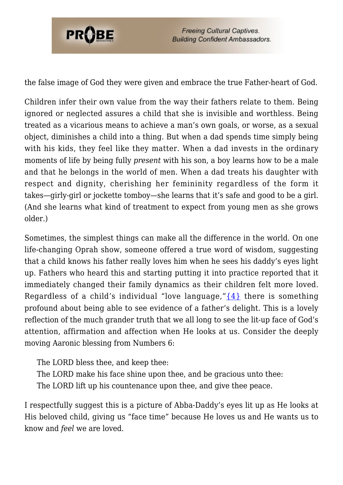

**Freeing Cultural Captives. Building Confident Ambassadors.** 

the false image of God they were given and embrace the true Father-heart of God.

Children infer their own value from the way their fathers relate to them. Being ignored or neglected assures a child that she is invisible and worthless. Being treated as a vicarious means to achieve a man's own goals, or worse, as a sexual object, diminishes a child into a thing. But when a dad spends time simply being with his kids, they feel like they matter. When a dad invests in the ordinary moments of life by being fully *present* with his son, a boy learns how to be a male and that he belongs in the world of men. When a dad treats his daughter with respect and dignity, cherishing her femininity regardless of the form it takes—girly-girl or jockette tomboy—she learns that it's safe and good to be a girl. (And she learns what kind of treatment to expect from young men as she grows older.)

Sometimes, the simplest things can make all the difference in the world. On one life-changing Oprah show, someone offered a true word of wisdom, suggesting that a child knows his father really loves him when he sees his daddy's eyes light up. Fathers who heard this and starting putting it into practice reported that it immediately changed their family dynamics as their children felt more loved. Regardless of a child's individual "love language," $\{4\}$  there is something profound about being able to see evidence of a father's delight. This is a lovely reflection of the much grander truth that we all long to see the lit-up face of God's attention, affirmation and affection when He looks at us. Consider the deeply moving Aaronic blessing from Numbers 6:

The LORD bless thee, and keep thee: The LORD make his face shine upon thee, and be gracious unto thee: The LORD lift up his countenance upon thee, and give thee peace.

I respectfully suggest this is a picture of Abba-Daddy's eyes lit up as He looks at His beloved child, giving us "face time" because He loves us and He wants us to know and *feel* we are loved.